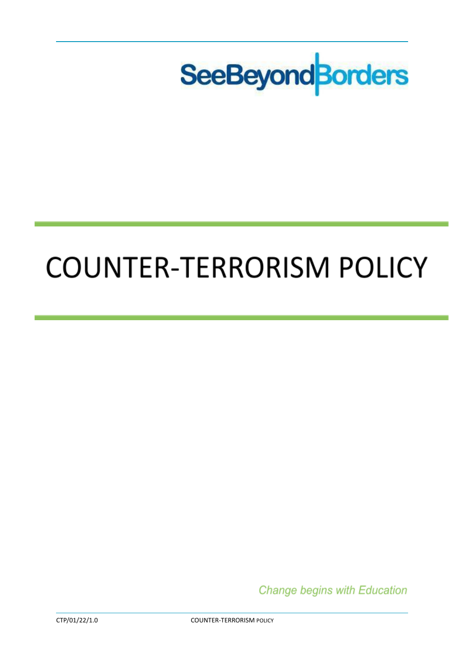

# **COUNTER-TERRORISM POLICY**

**Change begins with Education**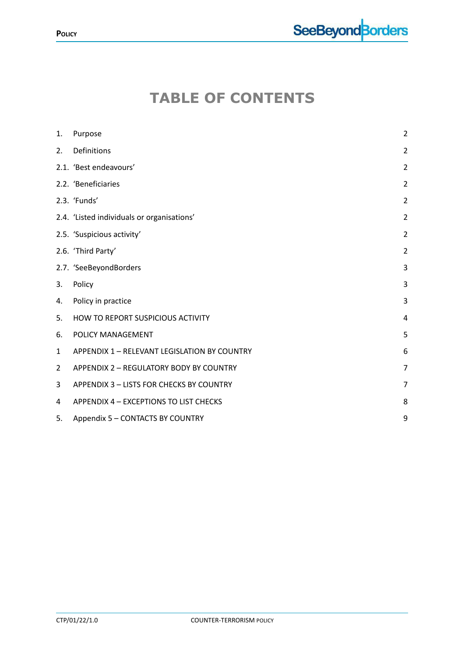# **TABLE OF CONTENTS**

| 1.             | Purpose                                      | $\overline{2}$ |
|----------------|----------------------------------------------|----------------|
| 2.             | Definitions                                  | $\overline{2}$ |
|                | 2.1. 'Best endeavours'                       | $\overline{2}$ |
|                | 2.2. 'Beneficiaries                          | $\overline{2}$ |
|                | 2.3. 'Funds'                                 | $\overline{2}$ |
|                | 2.4. 'Listed individuals or organisations'   | $\overline{2}$ |
|                | 2.5. 'Suspicious activity'                   | $\overline{2}$ |
|                | 2.6. 'Third Party'                           | $\overline{2}$ |
|                | 2.7. 'SeeBeyondBorders                       | 3              |
| 3.             | Policy                                       | 3              |
| 4.             | Policy in practice                           | 3              |
| 5.             | HOW TO REPORT SUSPICIOUS ACTIVITY            | $\overline{4}$ |
| 6.             | POLICY MANAGEMENT                            | 5              |
| 1              | APPENDIX 1 - RELEVANT LEGISLATION BY COUNTRY | 6              |
| $\overline{2}$ | APPENDIX 2 - REGULATORY BODY BY COUNTRY      | $\overline{7}$ |
| 3              | APPENDIX 3 - LISTS FOR CHECKS BY COUNTRY     | $\overline{7}$ |
| 4              | APPENDIX 4 - EXCEPTIONS TO LIST CHECKS       | 8              |
|                |                                              |                |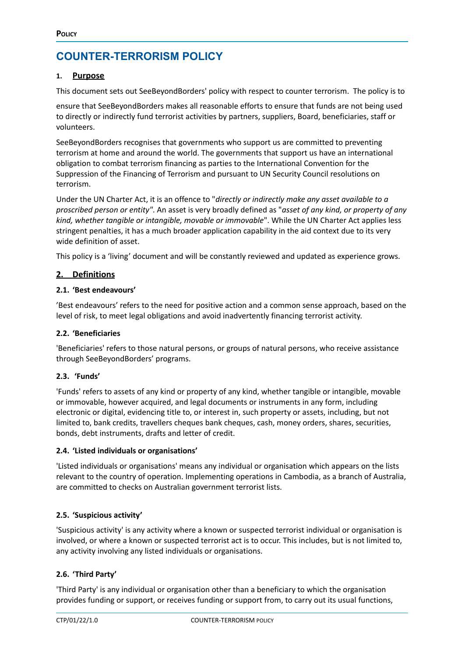## **COUNTER-TERRORISM POLICY**

#### <span id="page-2-0"></span>**1. Purpose**

This document sets out SeeBeyondBorders' policy with respect to counter terrorism. The policy is to

ensure that SeeBeyondBorders makes all reasonable efforts to ensure that funds are not being used to directly or indirectly fund terrorist activities by partners, suppliers, Board, beneficiaries, staff or volunteers.

SeeBeyondBorders recognises that governments who support us are committed to preventing terrorism at home and around the world. The governments that support us have an international obligation to combat terrorism financing as parties to the International Convention for the Suppression of the Financing of Terrorism and pursuant to UN Security Council resolutions on terrorism.

Under the UN Charter Act, it is an offence to "*directly or indirectly make any asset available to a proscribed person or entity"*. An asset is very broadly defined as "*asset of any kind, or property of any kind, whether tangible or intangible, movable or immovable*". While the UN Charter Act applies less stringent penalties, it has a much broader application capability in the aid context due to its very wide definition of asset.

This policy is a 'living' document and will be constantly reviewed and updated as experience grows.

#### <span id="page-2-1"></span>**2. Definitions**

#### <span id="page-2-2"></span>**2.1. 'Best endeavours'**

'Best endeavours' refers to the need for positive action and a common sense approach, based on the level of risk, to meet legal obligations and avoid inadvertently financing terrorist activity.

#### <span id="page-2-3"></span>**2.2. 'Beneficiaries**

'Beneficiaries' refers to those natural persons, or groups of natural persons, who receive assistance through SeeBeyondBorders' programs.

#### <span id="page-2-4"></span>**2.3. 'Funds'**

'Funds' refers to assets of any kind or property of any kind, whether tangible or intangible, movable or immovable, however acquired, and legal documents or instruments in any form, including electronic or digital, evidencing title to, or interest in, such property or assets, including, but not limited to, bank credits, travellers cheques bank cheques, cash, money orders, shares, securities, bonds, debt instruments, drafts and letter of credit.

#### <span id="page-2-5"></span>**2.4. 'Listed individuals or organisations'**

'Listed individuals or organisations' means any individual or organisation which appears on the lists relevant to the country of operation. Implementing operations in Cambodia, as a branch of Australia, are committed to checks on Australian government terrorist lists.

#### <span id="page-2-6"></span>**2.5. 'Suspicious activity'**

'Suspicious activity' is any activity where a known or suspected terrorist individual or organisation is involved, or where a known or suspected terrorist act is to occur. This includes, but is not limited to, any activity involving any listed individuals or organisations.

#### <span id="page-2-7"></span>**2.6. 'Third Party'**

'Third Party' is any individual or organisation other than a beneficiary to which the organisation provides funding or support, or receives funding or support from, to carry out its usual functions,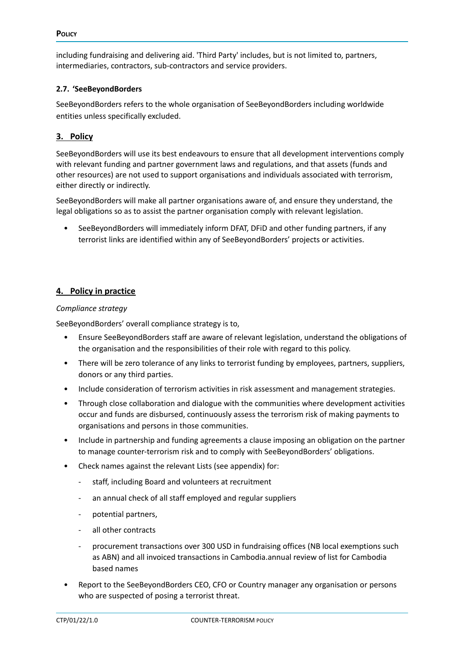including fundraising and delivering aid. 'Third Party' includes, but is not limited to, partners, intermediaries, contractors, sub-contractors and service providers.

#### <span id="page-3-0"></span>**2.7. 'SeeBeyondBorders**

SeeBeyondBorders refers to the whole organisation of SeeBeyondBorders including worldwide entities unless specifically excluded.

#### <span id="page-3-1"></span>**3. Policy**

SeeBeyondBorders will use its best endeavours to ensure that all development interventions comply with relevant funding and partner government laws and regulations, and that assets (funds and other resources) are not used to support organisations and individuals associated with terrorism, either directly or indirectly.

SeeBeyondBorders will make all partner organisations aware of, and ensure they understand, the legal obligations so as to assist the partner organisation comply with relevant legislation.

• SeeBeyondBorders will immediately inform DFAT, DFiD and other funding partners, if any terrorist links are identified within any of SeeBeyondBorders' projects or activities.

#### <span id="page-3-2"></span>**4. Policy in practice**

#### *Compliance strategy*

SeeBeyondBorders' overall compliance strategy is to,

- Ensure SeeBeyondBorders staff are aware of relevant legislation, understand the obligations of the organisation and the responsibilities of their role with regard to this policy.
- There will be zero tolerance of any links to terrorist funding by employees, partners, suppliers, donors or any third parties.
- Include consideration of terrorism activities in risk assessment and management strategies.
- Through close collaboration and dialogue with the communities where development activities occur and funds are disbursed, continuously assess the terrorism risk of making payments to organisations and persons in those communities.
- Include in partnership and funding agreements a clause imposing an obligation on the partner to manage counter-terrorism risk and to comply with SeeBeyondBorders' obligations.
- Check names against the relevant Lists (see appendix) for:
	- staff, including Board and volunteers at recruitment
	- an annual check of all staff employed and regular suppliers
	- potential partners,
	- all other contracts
	- procurement transactions over 300 USD in fundraising offices (NB local exemptions such as ABN) and all invoiced transactions in Cambodia.annual review of list for Cambodia based names
- Report to the SeeBeyondBorders CEO, CFO or Country manager any organisation or persons who are suspected of posing a terrorist threat.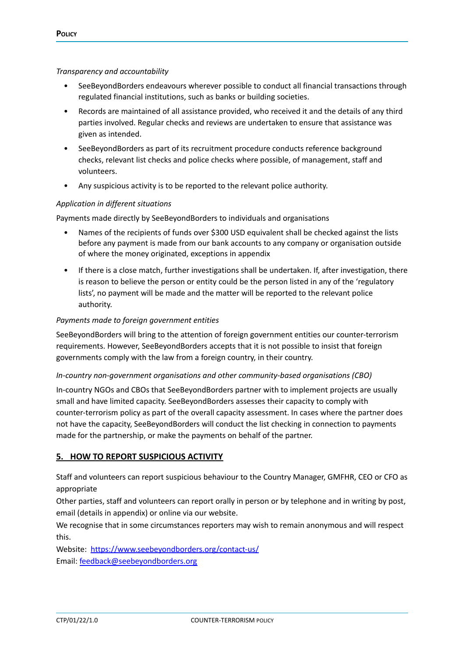#### *Transparency and accountability*

- SeeBeyondBorders endeavours wherever possible to conduct all financial transactions through regulated financial institutions, such as banks or building societies.
- Records are maintained of all assistance provided, who received it and the details of any third parties involved. Regular checks and reviews are undertaken to ensure that assistance was given as intended.
- SeeBeyondBorders as part of its recruitment procedure conducts reference background checks, relevant list checks and police checks where possible, of management, staff and volunteers.
- Any suspicious activity is to be reported to the relevant police authority.

#### *Application in different situations*

Payments made directly by SeeBeyondBorders to individuals and organisations

- Names of the recipients of funds over \$300 USD equivalent shall be checked against the lists before any payment is made from our bank accounts to any company or organisation outside of where the money originated, exceptions in appendix
- If there is a close match, further investigations shall be undertaken. If, after investigation, there is reason to believe the person or entity could be the person listed in any of the 'regulatory lists', no payment will be made and the matter will be reported to the relevant police authority.

#### *Payments made to foreign government entities*

SeeBeyondBorders will bring to the attention of foreign government entities our counter-terrorism requirements. However, SeeBeyondBorders accepts that it is not possible to insist that foreign governments comply with the law from a foreign country, in their country.

#### *In-country non-government organisations and other community-based organisations (CBO)*

In-country NGOs and CBOs that SeeBeyondBorders partner with to implement projects are usually small and have limited capacity. SeeBeyondBorders assesses their capacity to comply with counter-terrorism policy as part of the overall capacity assessment. In cases where the partner does not have the capacity, SeeBeyondBorders will conduct the list checking in connection to payments made for the partnership, or make the payments on behalf of the partner.

#### <span id="page-4-0"></span>**5. HOW TO REPORT SUSPICIOUS ACTIVITY**

Staff and volunteers can report suspicious behaviour to the Country Manager, GMFHR, CEO or CFO as appropriate

Other parties, staff and volunteers can report orally in person or by telephone and in writing by post, email (details in appendix) or online via our website.

We recognise that in some circumstances reporters may wish to remain anonymous and will respect this.

Website: <https://www.seebeyondborders.org/contact-us/> Email: [feedback@seebeyondborders.org](mailto:feedback@seebeyondborders.org)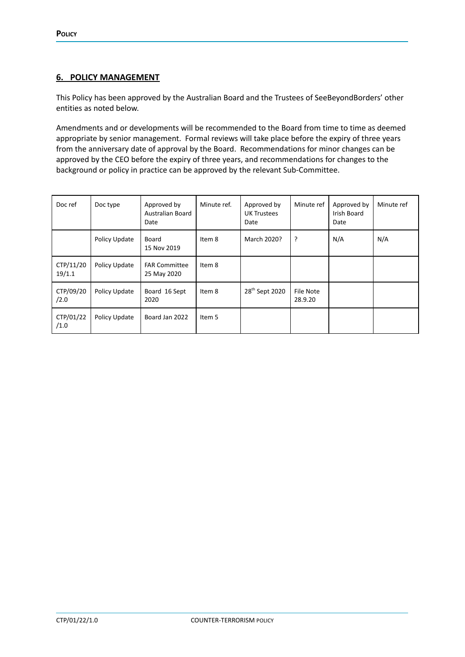#### <span id="page-5-0"></span>**6. POLICY MANAGEMENT**

This Policy has been approved by the Australian Board and the Trustees of SeeBeyondBorders' other entities as noted below.

Amendments and or developments will be recommended to the Board from time to time as deemed appropriate by senior management. Formal reviews will take place before the expiry of three years from the anniversary date of approval by the Board. Recommendations for minor changes can be approved by the CEO before the expiry of three years, and recommendations for changes to the background or policy in practice can be approved by the relevant Sub-Committee.

| Doc ref             | Doc type      | Approved by<br>Australian Board<br>Date | Minute ref. | Approved by<br><b>UK Trustees</b><br>Date | Minute ref           | Approved by<br><b>Irish Board</b><br>Date | Minute ref |
|---------------------|---------------|-----------------------------------------|-------------|-------------------------------------------|----------------------|-------------------------------------------|------------|
|                     | Policy Update | Board<br>15 Nov 2019                    | Item 8      | March 2020?                               | $\cdot$              | N/A                                       | N/A        |
| CTP/11/20<br>19/1.1 | Policy Update | <b>FAR Committee</b><br>25 May 2020     | Item 8      |                                           |                      |                                           |            |
| CTP/09/20<br>/2.0   | Policy Update | Board 16 Sept<br>2020                   | Item 8      | 28 <sup>th</sup> Sept 2020                | File Note<br>28.9.20 |                                           |            |
| CTP/01/22<br>/1.0   | Policy Update | Board Jan 2022                          | Item 5      |                                           |                      |                                           |            |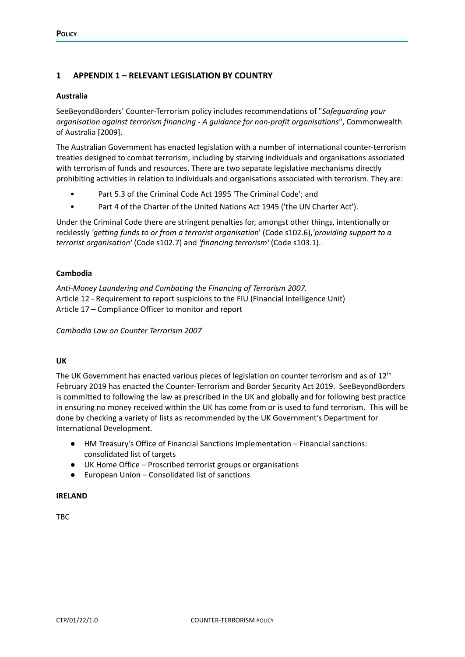#### <span id="page-6-0"></span>**1 APPENDIX 1 – RELEVANT LEGISLATION BY COUNTRY**

#### **Australia**

SeeBeyondBorders' Counter-Terrorism policy includes recommendations of "*Safeguarding your organisation against terrorism financing - A guidance for non-profit organisations*", Commonwealth of Australia [2009].

The Australian Government has enacted legislation with a number of international counter-terrorism treaties designed to combat terrorism, including by starving individuals and organisations associated with terrorism of funds and resources. There are two separate legislative mechanisms directly prohibiting activities in relation to individuals and organisations associated with terrorism. They are:

- Part 5.3 of the Criminal Code Act 1995 'The Criminal Code'; and
- Part 4 of the Charter of the United Nations Act 1945 ('the UN Charter Act').

Under the Criminal Code there are stringent penalties for, amongst other things, intentionally or recklessly *'getting funds to or from a terrorist organisation*' (Code s102.6),*'providing support to a terrorist organisation'* (Code s102.7) and *'financing terrorism'* (Code s103.1).

#### **Cambodia**

*Anti-Money Laundering and Combating the Financing of Terrorism 2007.* Article 12 - Requirement to report suspicions to the FIU (Financial Intelligence Unit) Article 17 – Compliance Officer to monitor and report

*Cambodia Law on Counter Terrorism 2007*

#### **UK**

The UK Government has enacted various pieces of legislation on counter terrorism and as of  $12^{\text{th}}$ February 2019 has enacted the Counter-Terrorism and Border Security Act 2019. SeeBeyondBorders is committed to following the law as prescribed in the UK and globally and for following best practice in ensuring no money received within the UK has come from or is used to fund terrorism. This will be done by checking a variety of lists as recommended by the UK Government's Department for International Development.

- HM Treasury's Office of Financial Sanctions Implementation Financial sanctions: consolidated list of targets
- UK Home Office Proscribed terrorist groups or organisations
- European Union Consolidated list of sanctions

#### **IRELAND**

TBC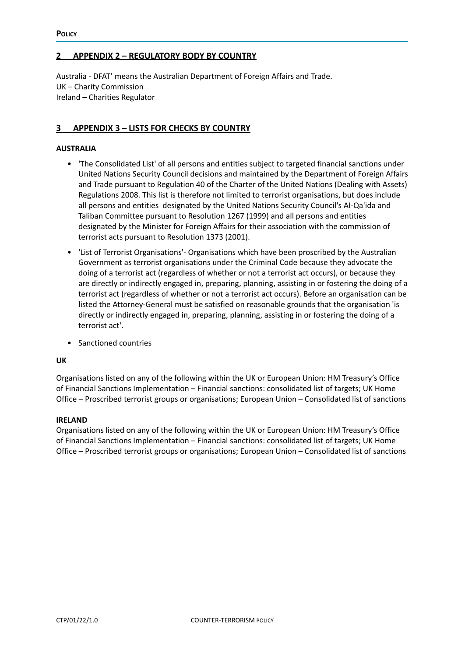#### <span id="page-7-0"></span>**2 APPENDIX 2 – REGULATORY BODY BY COUNTRY**

Australia - DFAT' means the Australian Department of Foreign Affairs and Trade. UK – Charity Commission Ireland – Charities Regulator

#### <span id="page-7-1"></span>**3 APPENDIX 3 – LISTS FOR CHECKS BY COUNTRY**

#### **AUSTRALIA**

- 'The Consolidated List' of all persons and entities subject to targeted financial sanctions under United Nations Security Council decisions and maintained by the Department of Foreign Affairs and Trade pursuant to Regulation 40 of the Charter of the United Nations (Dealing with Assets) Regulations 2008. This list is therefore not limited to terrorist organisations, but does include all persons and entities designated by the United Nations Security Council's AI-Qa'ida and Taliban Committee pursuant to Resolution 1267 (1999) and all persons and entities designated by the Minister for Foreign Affairs for their association with the commission of terrorist acts pursuant to Resolution 1373 (2001).
- 'List of Terrorist Organisations'- Organisations which have been proscribed by the Australian Government as terrorist organisations under the Criminal Code because they advocate the doing of a terrorist act (regardless of whether or not a terrorist act occurs), or because they are directly or indirectly engaged in, preparing, planning, assisting in or fostering the doing of a terrorist act (regardless of whether or not a terrorist act occurs). Before an organisation can be listed the Attorney-General must be satisfied on reasonable grounds that the organisation 'is directly or indirectly engaged in, preparing, planning, assisting in or fostering the doing of a terrorist act'.
- Sanctioned countries

#### **UK**

Organisations listed on any of the following within the UK or European Union: HM Treasury's Office of Financial Sanctions Implementation – Financial sanctions: consolidated list of targets; UK Home Office – Proscribed terrorist groups or organisations; European Union – Consolidated list of sanctions

#### **IRELAND**

Organisations listed on any of the following within the UK or European Union: HM Treasury's Office of Financial Sanctions Implementation – Financial sanctions: consolidated list of targets; UK Home Office – Proscribed terrorist groups or organisations; European Union – Consolidated list of sanctions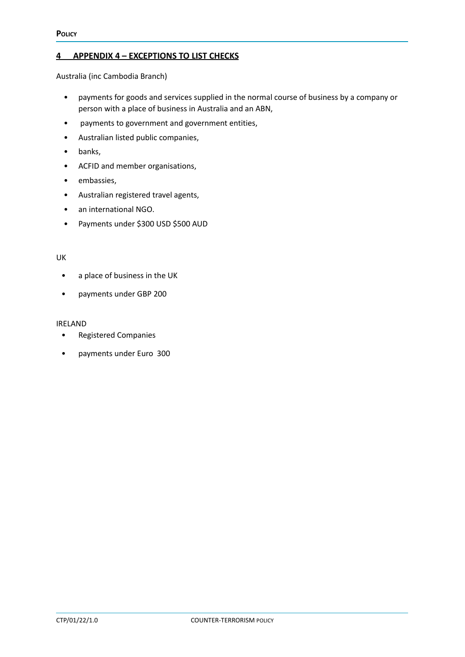#### <span id="page-8-0"></span>**4 APPENDIX 4 – EXCEPTIONS TO LIST CHECKS**

Australia (inc Cambodia Branch)

- payments for goods and services supplied in the normal course of business by a company or person with a place of business in Australia and an ABN,
- payments to government and government entities,
- Australian listed public companies,
- banks,
- ACFID and member organisations,
- embassies,
- Australian registered travel agents,
- an international NGO.
- Payments under \$300 USD \$500 AUD

#### UK

- a place of business in the UK
- payments under GBP 200

#### IRELAND

- Registered Companies
- payments under Euro 300